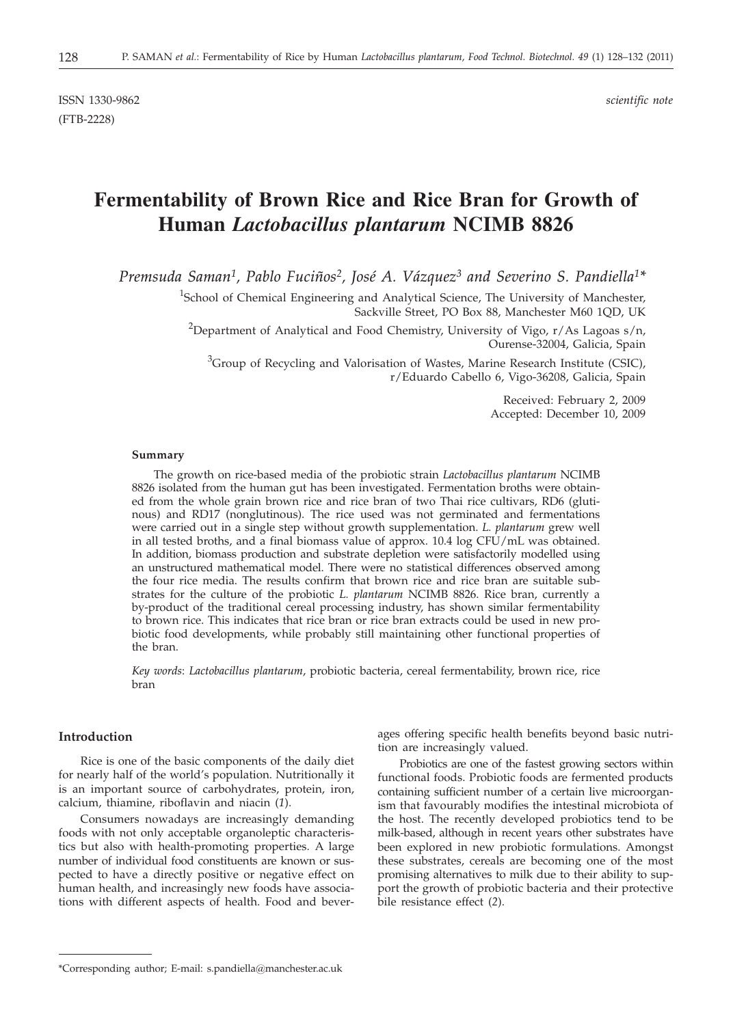ISSN 1330-9862 *scientific note* (FTB-2228)

# **Fermentability of Brown Rice and Rice Bran for Growth of Human** *Lactobacillus plantarum* **NCIMB 8826**

*Premsuda Saman1, Pablo Fuciños2, José A. Vázquez3 and Severino S. Pandiella1\**

<sup>1</sup>School of Chemical Engineering and Analytical Science, The University of Manchester, Sackville Street, PO Box 88, Manchester M60 1QD, UK

 $^{2}$ Department of Analytical and Food Chemistry, University of Vigo, r/As Lagoas s/n, Ourense-32004, Galicia, Spain

 ${}^{3}$ Group of Recycling and Valorisation of Wastes, Marine Research Institute (CSIC), r/Eduardo Cabello 6, Vigo-36208, Galicia, Spain

> Received: February 2, 2009 Accepted: December 10, 2009

#### **Summary**

The growth on rice-based media of the probiotic strain *Lactobacillus plantarum* NCIMB 8826 isolated from the human gut has been investigated. Fermentation broths were obtained from the whole grain brown rice and rice bran of two Thai rice cultivars, RD6 (glutinous) and RD17 (nonglutinous). The rice used was not germinated and fermentations were carried out in a single step without growth supplementation. *L. plantarum* grew well in all tested broths, and a final biomass value of approx. 10.4 log CFU/mL was obtained. In addition, biomass production and substrate depletion were satisfactorily modelled using an unstructured mathematical model. There were no statistical differences observed among the four rice media. The results confirm that brown rice and rice bran are suitable substrates for the culture of the probiotic *L. plantarum* NCIMB 8826. Rice bran, currently a by-product of the traditional cereal processing industry, has shown similar fermentability to brown rice. This indicates that rice bran or rice bran extracts could be used in new probiotic food developments, while probably still maintaining other functional properties of the bran.

*Key words*: *Lactobacillus plantarum*, probiotic bacteria, cereal fermentability, brown rice, rice bran

# **Introduction**

Rice is one of the basic components of the daily diet for nearly half of the world's population. Nutritionally it is an important source of carbohydrates, protein, iron, calcium, thiamine, riboflavin and niacin (*1*).

Consumers nowadays are increasingly demanding foods with not only acceptable organoleptic characteristics but also with health-promoting properties. A large number of individual food constituents are known or suspected to have a directly positive or negative effect on human health, and increasingly new foods have associations with different aspects of health. Food and beverages offering specific health benefits beyond basic nutrition are increasingly valued.

Probiotics are one of the fastest growing sectors within functional foods. Probiotic foods are fermented products containing sufficient number of a certain live microorganism that favourably modifies the intestinal microbiota of the host. The recently developed probiotics tend to be milk-based, although in recent years other substrates have been explored in new probiotic formulations. Amongst these substrates, cereals are becoming one of the most promising alternatives to milk due to their ability to support the growth of probiotic bacteria and their protective bile resistance effect (*2*).

<sup>\*</sup>Corresponding author; E-mail: s.pandiella@manchester.ac.uk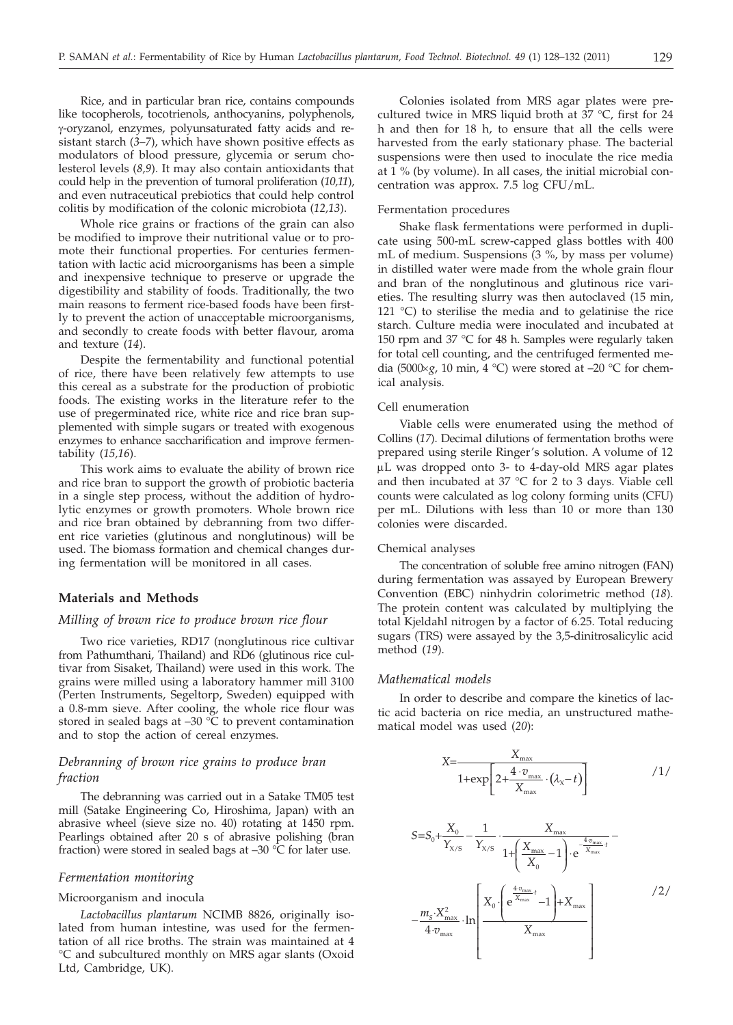Rice, and in particular bran rice, contains compounds like tocopherols, tocotrienols, anthocyanins, polyphenols, g-oryzanol, enzymes, polyunsaturated fatty acids and resistant starch (*3–7*), which have shown positive effects as modulators of blood pressure, glycemia or serum cholesterol levels (*8,9*). It may also contain antioxidants that could help in the prevention of tumoral proliferation (*10,11*), and even nutraceutical prebiotics that could help control colitis by modification of the colonic microbiota (*12,13*).

Whole rice grains or fractions of the grain can also be modified to improve their nutritional value or to promote their functional properties. For centuries fermentation with lactic acid microorganisms has been a simple and inexpensive technique to preserve or upgrade the digestibility and stability of foods. Traditionally, the two main reasons to ferment rice-based foods have been firstly to prevent the action of unacceptable microorganisms, and secondly to create foods with better flavour, aroma and texture (*14*).

Despite the fermentability and functional potential of rice, there have been relatively few attempts to use this cereal as a substrate for the production of probiotic foods. The existing works in the literature refer to the use of pregerminated rice, white rice and rice bran supplemented with simple sugars or treated with exogenous enzymes to enhance saccharification and improve fermentability (*15,16*).

This work aims to evaluate the ability of brown rice and rice bran to support the growth of probiotic bacteria in a single step process, without the addition of hydrolytic enzymes or growth promoters. Whole brown rice and rice bran obtained by debranning from two different rice varieties (glutinous and nonglutinous) will be used. The biomass formation and chemical changes during fermentation will be monitored in all cases.

## **Materials and Methods**

## *Milling of brown rice to produce brown rice flour*

Two rice varieties, RD17 (nonglutinous rice cultivar from Pathumthani, Thailand) and RD6 (glutinous rice cultivar from Sisaket, Thailand) were used in this work. The grains were milled using a laboratory hammer mill 3100 (Perten Instruments, Segeltorp, Sweden) equipped with a 0.8-mm sieve. After cooling, the whole rice flour was stored in sealed bags at  $-30\text{ °C}$  to prevent contamination and to stop the action of cereal enzymes.

# *Debranning of brown rice grains to produce bran fraction*

The debranning was carried out in a Satake TM05 test mill (Satake Engineering Co, Hiroshima, Japan) with an abrasive wheel (sieve size no. 40) rotating at 1450 rpm. Pearlings obtained after 20 s of abrasive polishing (bran fraction) were stored in sealed bags at  $-30$  °C for later use.

# *Fermentation monitoring*

#### Microorganism and inocula

*Lactobacillus plantarum* NCIMB 8826, originally isolated from human intestine, was used for the fermentation of all rice broths. The strain was maintained at 4 °C and subcultured monthly on MRS agar slants (Oxoid Ltd, Cambridge, UK).

Colonies isolated from MRS agar plates were precultured twice in MRS liquid broth at 37 °C, first for 24 h and then for 18 h, to ensure that all the cells were harvested from the early stationary phase. The bacterial suspensions were then used to inoculate the rice media at 1 % (by volume). In all cases, the initial microbial concentration was approx. 7.5 log CFU/mL.

# Fermentation procedures

Shake flask fermentations were performed in duplicate using 500-mL screw-capped glass bottles with 400 mL of medium. Suspensions (3 %, by mass per volume) in distilled water were made from the whole grain flour and bran of the nonglutinous and glutinous rice varieties. The resulting slurry was then autoclaved (15 min, 121 °C) to sterilise the media and to gelatinise the rice starch. Culture media were inoculated and incubated at 150 rpm and 37 °C for 48 h. Samples were regularly taken for total cell counting, and the centrifuged fermented media (5000 $\times$ *g*, 10 min, 4 °C) were stored at  $-20$  °C for chemical analysis.

#### Cell enumeration

Viable cells were enumerated using the method of Collins (*17*). Decimal dilutions of fermentation broths were prepared using sterile Ringer's solution. A volume of 12 mL was dropped onto 3- to 4-day-old MRS agar plates and then incubated at 37 °C for 2 to 3 days. Viable cell counts were calculated as log colony forming units (CFU) per mL. Dilutions with less than 10 or more than 130 colonies were discarded.

#### Chemical analyses

The concentration of soluble free amino nitrogen (FAN) during fermentation was assayed by European Brewery Convention (EBC) ninhydrin colorimetric method (*18*). The protein content was calculated by multiplying the total Kjeldahl nitrogen by a factor of 6.25. Total reducing sugars (TRS) were assayed by the 3,5-dinitrosalicylic acid method (*19*).

## *Mathematical models*

In order to describe and compare the kinetics of lactic acid bacteria on rice media, an unstructured mathematical model was used (*20*):

$$
X = \frac{X_{\text{max}}}{1 + \exp\left[2 + \frac{4 \cdot v_{\text{max}}}{X_{\text{max}}} \cdot (\lambda_x - t)\right]}
$$
 / 1/

$$
S = S_0 + \frac{X_0}{Y_{X/S}} - \frac{1}{Y_{X/S}} \cdot \frac{X_{\max}}{1 + \left(\frac{X_{\max}}{X_0} - 1\right) \cdot e^{-\frac{4 \cdot v_{\max}}{X_{\max}}} - \frac{1}{1 + \left(\frac{W_{\max}}{X_0} - 1\right) \cdot e^{-\frac{4 \cdot v_{\max}}{X_{\max}}} - \frac{1}{1 + \left(\frac{W_{\max}}{X_0} - 1\right)} \cdot e^{-\frac{4 \cdot v_{\max}}{X_{\max}}} \cdot \frac{1}{1 + \left(\frac{W_{\max}}{X_0} - 1\right) \cdot e^{-\frac{4 \cdot v_{\max}}{X_{\max}}} - \frac{1}{1 + \left(\frac{W_{\max}}{X_0} - 1\right) \cdot e^{-\frac{4 \cdot v_{\max}}{X_{\max}}} - \frac{1}{1 + \left(\frac{W_{\max}}{X_0} - 1\right) \cdot e^{-\frac{4 \cdot v_{\max}}{X_{\max}}} - \frac{1}{1 + \left(\frac{W_{\max}}{X_0} - 1\right) \cdot e^{-\frac{4 \cdot v_{\max}}{X_{\max}}} - \frac{1}{1 + \left(\frac{W_{\max}}{X_0} - 1\right) \cdot e^{-\frac{4 \cdot v_{\max}}{X_{\max}}} - \frac{1}{1 + \left(\frac{W_{\max}}{X_0} - 1\right) \cdot e^{-\frac{4 \cdot v_{\max}}{X_{\max}}} - \frac{1}{1 + \left(\frac{W_{\max}}{X_0} - 1\right) \cdot e^{-\frac{4 \cdot v_{\max}}{X_{\max}}} - \frac{1}{1 + \left(\frac{W_{\max}}{X_0} - 1\right) \cdot e^{-\frac{4 \cdot v_{\max}}{X_{\max}}} - \frac{1}{1 + \left(\frac{W_{\max}}{X_0} - 1\right) \cdot e^{-\frac{W_{\max}}{X_{\max}}} - \frac{1}{1 + \left(\frac{W_{\max}}{X_0} - 1\right) \cdot e^{-\frac{W_{\max}}{X_{\max}}} - \frac{1}{1 + \left(\frac{W_{\max}}{X_0} - 1\right) \cdot e^{-\frac{W_{\max}}{X_{\max}}} - \frac{1}{1 + \left(\frac{W_{\max}}{X_0} - 1\right) \cdot e^{-
$$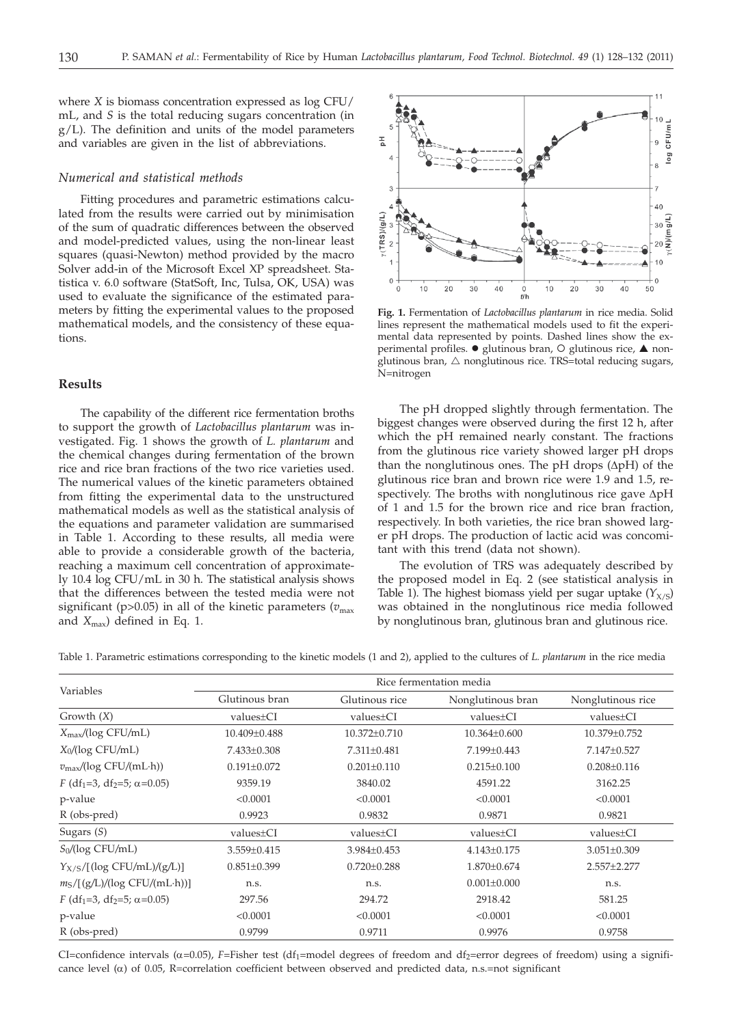where *X* is biomass concentration expressed as log CFU/ mL, and *S* is the total reducing sugars concentration (in g/L). The definition and units of the model parameters and variables are given in the list of abbreviations.

# *Numerical and statistical methods*

Fitting procedures and parametric estimations calculated from the results were carried out by minimisation of the sum of quadratic differences between the observed and model-predicted values, using the non-linear least squares (quasi-Newton) method provided by the macro Solver add-in of the Microsoft Excel XP spreadsheet. Statistica v. 6.0 software (StatSoft, Inc, Tulsa, OK, USA) was used to evaluate the significance of the estimated parameters by fitting the experimental values to the proposed mathematical models, and the consistency of these equations.

# **Results**

The capability of the different rice fermentation broths to support the growth of *Lactobacillus plantarum* was investigated. Fig. 1 shows the growth of *L. plantarum* and the chemical changes during fermentation of the brown rice and rice bran fractions of the two rice varieties used. The numerical values of the kinetic parameters obtained from fitting the experimental data to the unstructured mathematical models as well as the statistical analysis of the equations and parameter validation are summarised in Table 1. According to these results, all media were able to provide a considerable growth of the bacteria, reaching a maximum cell concentration of approximately 10.4 log CFU/mL in 30 h. The statistical analysis shows that the differences between the tested media were not significant ( $p$ >0.05) in all of the kinetic parameters ( $v_{\text{max}}$ ) and  $X_{\text{max}}$ ) defined in Eq. 1.



**Fig. 1.** Fermentation of *Lactobacillus plantarum* in rice media. Solid lines represent the mathematical models used to fit the experimental data represented by points. Dashed lines show the experimental profiles.  $\bullet$  glutinous bran, O glutinous rice,  $\blacktriangle$  nonglutinous bran,  $\triangle$  nonglutinous rice. TRS=total reducing sugars, N=nitrogen

The pH dropped slightly through fermentation. The biggest changes were observed during the first 12 h, after which the pH remained nearly constant. The fractions from the glutinous rice variety showed larger pH drops than the nonglutinous ones. The pH drops  $(\Delta pH)$  of the glutinous rice bran and brown rice were 1.9 and 1.5, respectively. The broths with nonglutinous rice gave  $\Delta pH$ of 1 and 1.5 for the brown rice and rice bran fraction, respectively. In both varieties, the rice bran showed larger pH drops. The production of lactic acid was concomitant with this trend (data not shown).

The evolution of TRS was adequately described by the proposed model in Eq. 2 (see statistical analysis in Table 1). The highest biomass yield per sugar uptake  $(Y_{X/S})$ was obtained in the nonglutinous rice media followed by nonglutinous bran, glutinous bran and glutinous rice.

Table 1. Parametric estimations corresponding to the kinetic models (1 and 2), applied to the cultures of *L. plantarum* in the rice media

| Variables                                                    | Rice fermentation media |                   |                   |                   |
|--------------------------------------------------------------|-------------------------|-------------------|-------------------|-------------------|
|                                                              | Glutinous bran          | Glutinous rice    | Nonglutinous bran | Nonglutinous rice |
| Growth $(X)$                                                 | values±CI               | values±CI         | values±CI         | values±CI         |
| $X_{\text{max}}/(\log CFU/mL)$                               | 10.409±0.488            | 10.372±0.710      | 10.364±0.600      | 10.379±0.752      |
| $X_0/(\log CFU/mL)$                                          | 7.433±0.308             | 7.311±0.481       | 7.199±0.443       | 7.147±0.527       |
| $v_{\text{max}}/(\log CFU/(mL \cdot h))$                     | $0.191 \pm 0.072$       | $0.201 \pm 0.110$ | $0.215 \pm 0.100$ | $0.208 \pm 0.116$ |
| F (df <sub>1</sub> =3, df <sub>2</sub> =5; $\alpha$ =0.05)   | 9359.19                 | 3840.02           | 4591.22           | 3162.25           |
| p-value                                                      | < 0.0001                | < 0.0001          | < 0.0001          | < 0.0001          |
| $R$ (obs-pred)                                               | 0.9923                  | 0.9832            | 0.9871            | 0.9821            |
| Sugars $(S)$                                                 | values±CI               | values±CI         | values±CI         | values±CI         |
| $S_0/(\log CFU/mL)$                                          | 3.559±0.415             | $3.984 \pm 0.453$ | $4.143 \pm 0.175$ | $3.051 \pm 0.309$ |
| $Y_{X/S}/[(\log CFU/mL)/(g/L)]$                              | $0.851 \pm 0.399$       | $0.720 \pm 0.288$ | $1.870 \pm 0.674$ | 2.557±2.277       |
| $m_S/[g/L)/(log CFU/(mL \cdot h))]$                          | n.s.                    | n.s.              | $0.001 \pm 0.000$ | n.s.              |
| $F$ (df <sub>1</sub> =3, df <sub>2</sub> =5; $\alpha$ =0.05) | 297.56                  | 294.72            | 2918.42           | 581.25            |
| p-value                                                      | < 0.0001                | < 0.0001          | < 0.0001          | < 0.0001          |
| R (obs-pred)                                                 | 0.9799                  | 0.9711            | 0.9976            | 0.9758            |

CI=confidence intervals ( $\alpha$ =0.05), *F*=Fisher test (df<sub>1</sub>=model degrees of freedom and df<sub>2</sub>=error degrees of freedom) using a significance level  $(\alpha)$  of 0.05, R=correlation coefficient between observed and predicted data, n.s.=not significant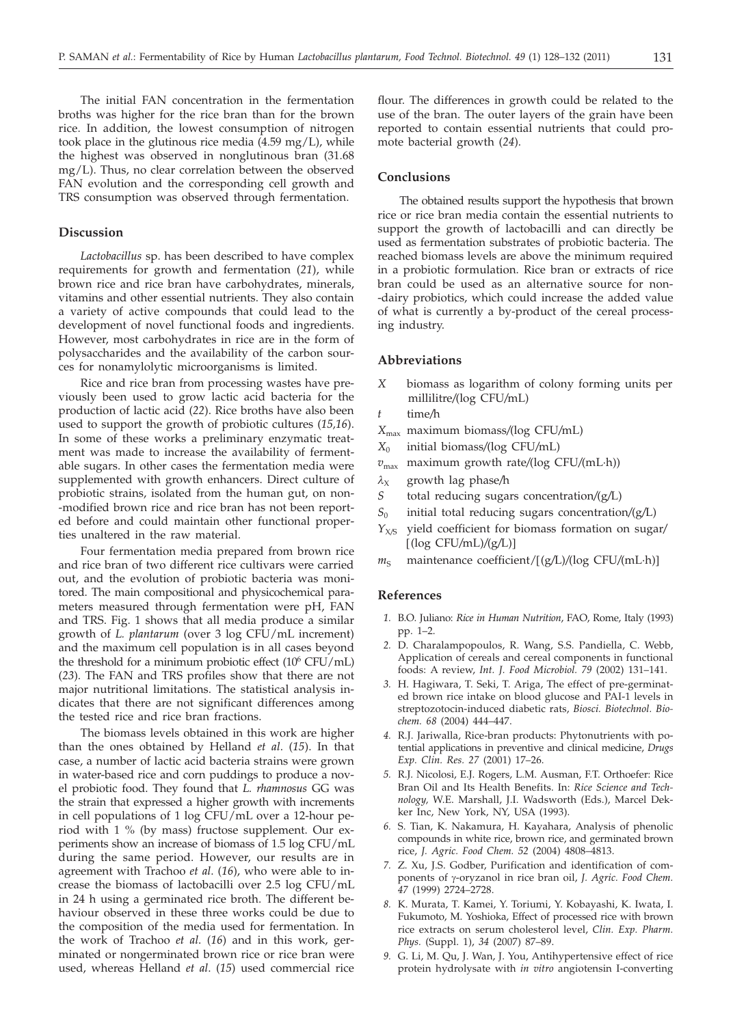The initial FAN concentration in the fermentation broths was higher for the rice bran than for the brown rice. In addition, the lowest consumption of nitrogen took place in the glutinous rice media (4.59 mg/L), while the highest was observed in nonglutinous bran (31.68 mg/L). Thus, no clear correlation between the observed FAN evolution and the corresponding cell growth and TRS consumption was observed through fermentation.

# **Discussion**

*Lactobacillus* sp. has been described to have complex requirements for growth and fermentation (*21*), while brown rice and rice bran have carbohydrates, minerals, vitamins and other essential nutrients. They also contain a variety of active compounds that could lead to the development of novel functional foods and ingredients. However, most carbohydrates in rice are in the form of polysaccharides and the availability of the carbon sources for nonamylolytic microorganisms is limited.

Rice and rice bran from processing wastes have previously been used to grow lactic acid bacteria for the production of lactic acid (*22*). Rice broths have also been used to support the growth of probiotic cultures (*15,16*). In some of these works a preliminary enzymatic treatment was made to increase the availability of fermentable sugars. In other cases the fermentation media were supplemented with growth enhancers. Direct culture of probiotic strains, isolated from the human gut, on non- -modified brown rice and rice bran has not been reported before and could maintain other functional properties unaltered in the raw material.

Four fermentation media prepared from brown rice and rice bran of two different rice cultivars were carried out, and the evolution of probiotic bacteria was monitored. The main compositional and physicochemical parameters measured through fermentation were pH, FAN and TRS. Fig. 1 shows that all media produce a similar growth of *L. plantarum* (over 3 log CFU/mL increment) and the maximum cell population is in all cases beyond the threshold for a minimum probiotic effect  $(10^6 \text{ CFU/mL})$ (*23*). The FAN and TRS profiles show that there are not major nutritional limitations. The statistical analysis indicates that there are not significant differences among the tested rice and rice bran fractions.

The biomass levels obtained in this work are higher than the ones obtained by Helland *et al*. (*15*). In that case, a number of lactic acid bacteria strains were grown in water-based rice and corn puddings to produce a novel probiotic food. They found that *L. rhamnosus* GG was the strain that expressed a higher growth with increments in cell populations of 1 log CFU/mL over a 12-hour period with 1 % (by mass) fructose supplement. Our experiments show an increase of biomass of 1.5 log CFU/mL during the same period. However, our results are in agreement with Trachoo *et al*. (*16*), who were able to increase the biomass of lactobacilli over 2.5 log CFU/mL in 24 h using a germinated rice broth. The different behaviour observed in these three works could be due to the composition of the media used for fermentation. In the work of Trachoo *et al*. (*16*) and in this work, germinated or nongerminated brown rice or rice bran were used, whereas Helland *et al*. (*15*) used commercial rice

flour. The differences in growth could be related to the use of the bran. The outer layers of the grain have been reported to contain essential nutrients that could promote bacterial growth (*24*).

# **Conclusions**

The obtained results support the hypothesis that brown rice or rice bran media contain the essential nutrients to support the growth of lactobacilli and can directly be used as fermentation substrates of probiotic bacteria. The reached biomass levels are above the minimum required in a probiotic formulation. Rice bran or extracts of rice bran could be used as an alternative source for non- -dairy probiotics, which could increase the added value of what is currently a by-product of the cereal processing industry.

## **Abbreviations**

- *X* biomass as logarithm of colony forming units per millilitre*/*(log CFU*/*mL)
- *t* time*/*h
- *X*max maximum biomass*/*(log CFU*/*mL)
- *X*<sup>0</sup> initial biomass*/*(log CFU*/*mL)
- *v*max maximum growth rate*/*(log CFU*/*(mL·h))
- $\lambda_X$  growth lag phase/h
- *S* total reducing sugars concentration*/*(g*/*L)
- *S*<sup>0</sup> initial total reducing sugars concentration*/*(g*/*L)
- *Y*<sub>X/S</sub> yield coefficient for biomass formation on sugar/ [(log CFU*/*mL)*/*(g*/*L)]
- $m<sub>S</sub>$  maintenance coefficient/ $[(g/L)/(log CFU/(mL \cdot h))]$

## **References**

- *1.* B.O. Juliano: *Rice in Human Nutrition*, FAO, Rome, Italy (1993) pp. 1–2.
- *2.* D. Charalampopoulos, R. Wang, S.S. Pandiella, C. Webb, Application of cereals and cereal components in functional foods: A review, *Int. J. Food Microbiol. 79* (2002) 131–141.
- *3.* H. Hagiwara, T. Seki, T. Ariga, The effect of pre-germinated brown rice intake on blood glucose and PAI-1 levels in streptozotocin-induced diabetic rats, *Biosci. Biotechnol. Biochem. 68* (2004) 444–447.
- *4.* R.J. Jariwalla, Rice-bran products: Phytonutrients with potential applications in preventive and clinical medicine, *Drugs Exp. Clin. Res. 27* (2001) 17–26.
- *5.* R.J. Nicolosi, E.J. Rogers, L.M. Ausman, F.T. Orthoefer: Rice Bran Oil and Its Health Benefits. In: *Rice Science and Technology,* W.E. Marshall, J.I. Wadsworth (Eds.), Marcel Dekker Inc, New York, NY, USA (1993).
- *6.* S. Tian, K. Nakamura, H. Kayahara, Analysis of phenolic compounds in white rice, brown rice, and germinated brown rice, *J. Agric. Food Chem. 52* (2004) 4808–4813.
- *7.* Z. Xu, J.S. Godber, Purification and identification of components of y-oryzanol in rice bran oil, *J. Agric. Food Chem. 47* (1999) 2724–2728.
- *8.* K. Murata, T. Kamei, Y. Toriumi, Y. Kobayashi, K. Iwata, I. Fukumoto, M. Yoshioka, Effect of processed rice with brown rice extracts on serum cholesterol level, *Clin. Exp. Pharm. Phys.* (Suppl. 1), *34* (2007) 87–89.
- *9.* G. Li, M. Qu, J. Wan, J. You, Antihypertensive effect of rice protein hydrolysate with *in vitro* angiotensin I-converting